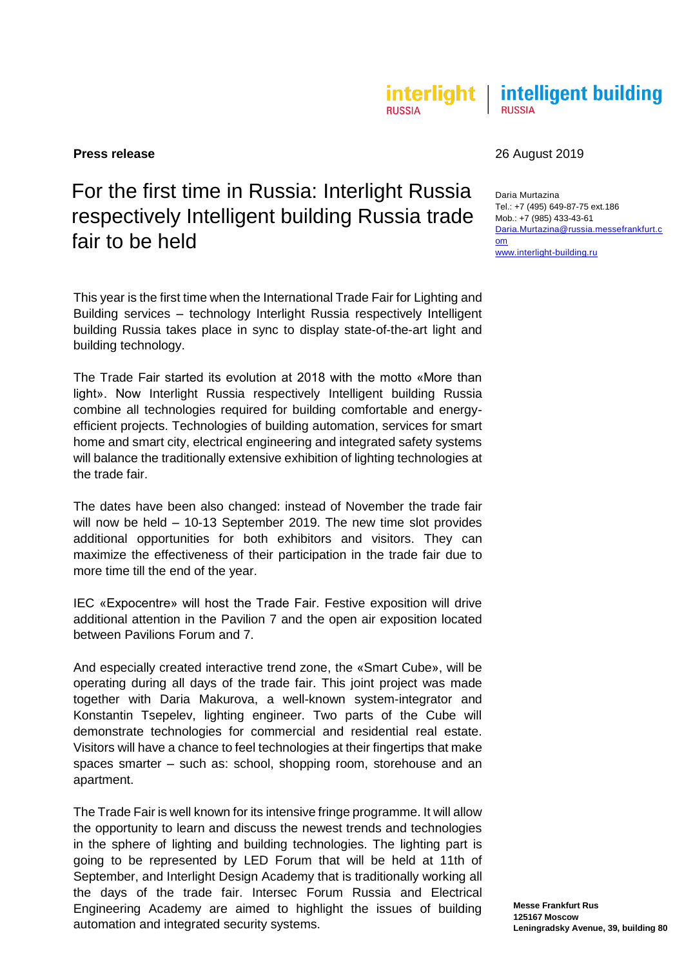## interlight | intelligent building **RUSSIA RUSSIA**

# For the first time in Russia: Interlight Russia respectively Intelligent building Russia trade fair to be held

This year is the first time when the International Trade Fair for Lighting and Building services – technology Interlight Russia respectively Intelligent building Russia takes place in sync to display state-of-the-art light and building technology.

The Trade Fair started its evolution at 2018 with the motto «More than light». Now Interlight Russia respectively Intelligent building Russia combine all technologies required for building comfortable and energyefficient projects. Technologies of building automation, services for smart home and smart city, electrical engineering and integrated safety systems will balance the traditionally extensive exhibition of lighting technologies at the trade fair.

The dates have been also changed: instead of November the trade fair will now be held – 10-13 September 2019. The new time slot provides additional opportunities for both exhibitors and visitors. They can maximize the effectiveness of their participation in the trade fair due to more time till the end of the year.

IEC «Expocentre» will host the Trade Fair. Festive exposition will drive additional attention in the Pavilion 7 and the open air exposition located between Pavilions Forum and 7.

And especially created interactive trend zone, the «Smart Cube», will be operating during all days of the trade fair. This joint project was made together with Daria Makurova, a well-known system-integrator and Konstantin Tsepelev, lighting engineer. Two parts of the Cube will demonstrate technologies for commercial and residential real estate. Visitors will have a chance to feel technologies at their fingertips that make spaces smarter – such as: school, shopping room, storehouse and an apartment.

The Trade Fair is well known for its intensive fringe programme. It will allow the opportunity to learn and discuss the newest trends and technologies in the sphere of lighting and building technologies. The lighting part is going to be represented by LED Forum that will be held at 11th of September, and Interlight Design Academy that is traditionally working all the days of the trade fair. Intersec Forum Russia and Electrical Engineering Academy are aimed to highlight the issues of building automation and integrated security systems.

# **Press release** 2019

Daria Murtazina Tel.: +7 (495) 649-87-75 ext.186 Mob.: +7 (985) 433-43-61 [Daria.Murtazina@russia.messefrankfurt.c](mailto:Daria.Murtazina@russia.messefrankfurt.com) [om](mailto:Daria.Murtazina@russia.messefrankfurt.com) [www.interlight-building.ru](http://www.interlight-building.ru/)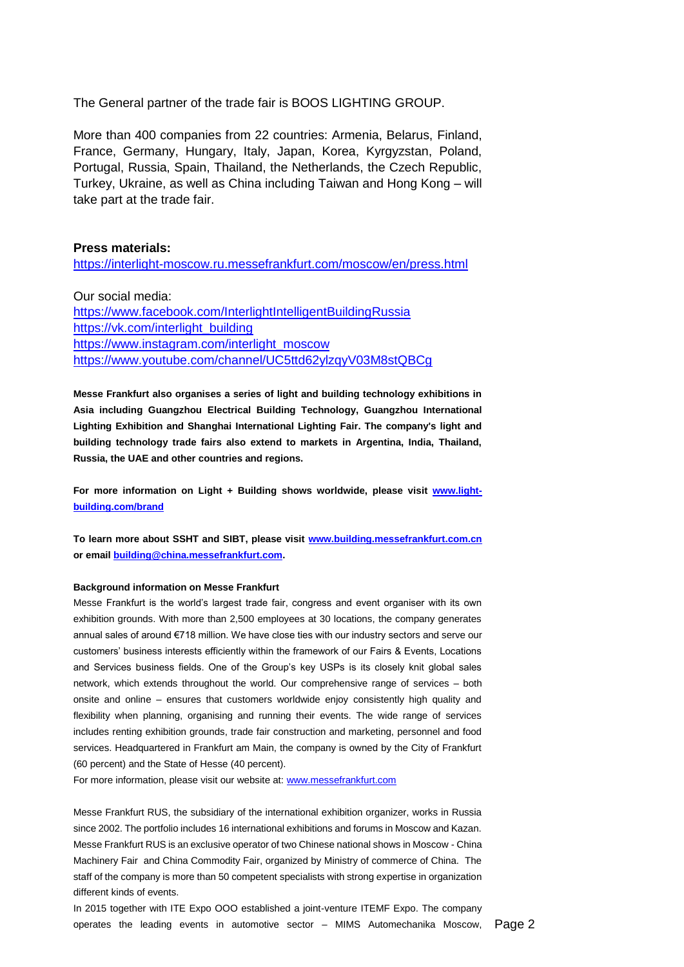The General partner of the trade fair is BOOS LIGHTING GROUP.

More than 400 companies from 22 countries: Armenia, Belarus, Finland, France, Germany, Hungary, Italy, Japan, Korea, Kyrgyzstan, Poland, Portugal, Russia, Spain, Thailand, the Netherlands, the Czech Republic, Turkey, Ukraine, as well as China including Taiwan and Hong Kong – will take part at the trade fair.

# **Press materials:**

<https://interlight-moscow.ru.messefrankfurt.com/moscow/en/press.html>

Our social media: <https://www.facebook.com/InterlightIntelligentBuildingRussia> [https://vk.com/interlight\\_building](https://vk.com/interlight_building) https://www.instagram.com/interlight\_moscow <https://www.youtube.com/channel/UC5ttd62ylzqyV03M8stQBCg>

**Messe Frankfurt also organises a series of light and building technology exhibitions in Asia including Guangzhou Electrical Building Technology, Guangzhou International Lighting Exhibition and Shanghai International Lighting Fair. The company's light and building technology trade fairs also extend to markets in Argentina, India, Thailand, Russia, the UAE and other countries and regions.** 

For more information on Light + Building shows worldwide, please visit [www.light](http://www.light-building.com/brand)**[building.com/brand](http://www.light-building.com/brand)**

**To learn more about SSHT and SIBT, please visit [www.building.messefrankfurt.com.cn](http://www.building.messefrankfurt.com.cn/) or email [building@china.messefrankfurt.com.](mailto:building@china.messefrankfurt.com)**

## **Background information on Messe Frankfurt**

Messe Frankfurt is the world's largest trade fair, congress and event organiser with its own exhibition grounds. With more than 2,500 employees at 30 locations, the company generates annual sales of around €718 million. We have close ties with our industry sectors and serve our customers' business interests efficiently within the framework of our Fairs & Events, Locations and Services business fields. One of the Group's key USPs is its closely knit global sales network, which extends throughout the world. Our comprehensive range of services – both onsite and online – ensures that customers worldwide enjoy consistently high quality and flexibility when planning, organising and running their events. The wide range of services includes renting exhibition grounds, trade fair construction and marketing, personnel and food services. Headquartered in Frankfurt am Main, the company is owned by the City of Frankfurt (60 percent) and the State of Hesse (40 percent).

For more information, please visit our website at[: www.messefrankfurt.com](http://www.messefrankfurt.com/)

Messe Frankfurt RUS, the subsidiary of the international exhibition organizer, works in Russia since 2002. The portfolio includes 16 international exhibitions and forums in Moscow and Kazan. Messe Frankfurt RUS is an exclusive operator of two Chinese national shows in Moscow - China Machinery Fair and China Commodity Fair, organized by Ministry of commerce of China. The staff of the company is more than 50 competent specialists with strong expertise in organization different kinds of events.

operates the leading events in automotive sector - MIMS Automechanika Moscow, Page 2 In 2015 together with ITE Expo OOO established a joint-venture ITEMF Expo. The company